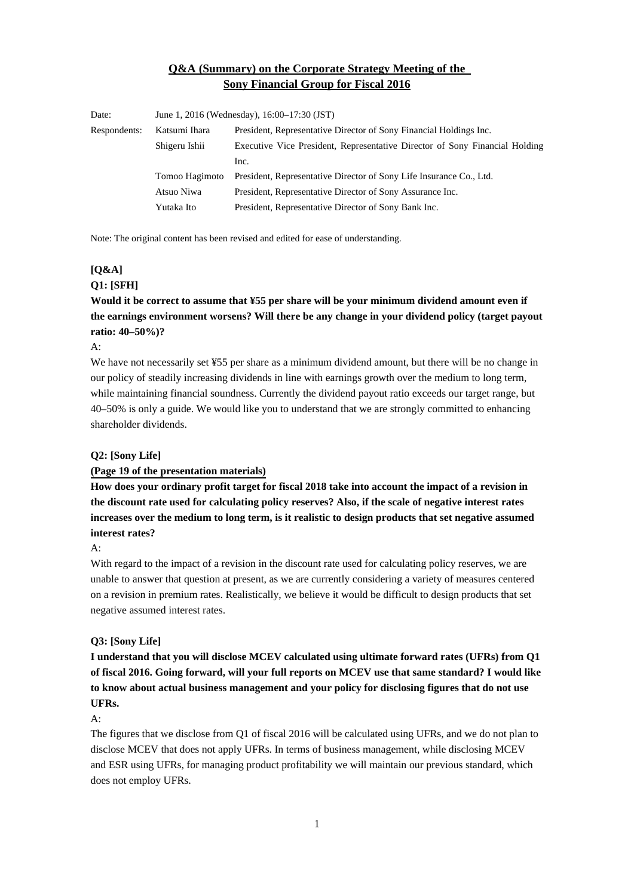## **Q&A (Summary) on the Corporate Strategy Meeting of the Sony Financial Group for Fiscal 2016**

| Date:        | June 1, 2016 (Wednesday), 16:00–17:30 (JST) |                                                                             |
|--------------|---------------------------------------------|-----------------------------------------------------------------------------|
| Respondents: | Katsumi Ihara                               | President, Representative Director of Sony Financial Holdings Inc.          |
|              | Shigeru Ishii                               | Executive Vice President, Representative Director of Sony Financial Holding |
|              |                                             | Inc.                                                                        |
|              | Tomoo Hagimoto                              | President, Representative Director of Sony Life Insurance Co., Ltd.         |
|              | Atsuo Niwa                                  | President, Representative Director of Sony Assurance Inc.                   |
|              | Yutaka Ito                                  | President, Representative Director of Sony Bank Inc.                        |

Note: The original content has been revised and edited for ease of understanding.

# **[Q&A]**

## **Q1: [SFH]**

**Would it be correct to assume that ¥55 per share will be your minimum dividend amount even if the earnings environment worsens? Will there be any change in your dividend policy (target payout ratio: 40–50%)?** 

### $A$ :

We have not necessarily set ¥55 per share as a minimum dividend amount, but there will be no change in our policy of steadily increasing dividends in line with earnings growth over the medium to long term, while maintaining financial soundness. Currently the dividend payout ratio exceeds our target range, but 40–50% is only a guide. We would like you to understand that we are strongly committed to enhancing shareholder dividends.

### **Q2: [Sony Life]**

### **[\(Page 19 of the presentation materials\)](http://www.sonyfh.co.jp/ja/financial_info/management_vision/160601_01.pdf)**

**How does your ordinary profit target for fiscal 2018 take into account the impact of a revision in the discount rate used for calculating policy reserves? Also, if the scale of negative interest rates increases over the medium to long term, is it realistic to design products that set negative assumed interest rates?** 

#### A:

With regard to the impact of a revision in the discount rate used for calculating policy reserves, we are unable to answer that question at present, as we are currently considering a variety of measures centered on a revision in premium rates. Realistically, we believe it would be difficult to design products that set negative assumed interest rates.

### **Q3: [Sony Life]**

**I understand that you will disclose MCEV calculated using ultimate forward rates (UFRs) from Q1 of fiscal 2016. Going forward, will your full reports on MCEV use that same standard? I would like to know about actual business management and your policy for disclosing figures that do not use UFRs.** 

### A:

The figures that we disclose from Q1 of fiscal 2016 will be calculated using UFRs, and we do not plan to disclose MCEV that does not apply UFRs. In terms of business management, while disclosing MCEV and ESR using UFRs, for managing product profitability we will maintain our previous standard, which does not employ UFRs.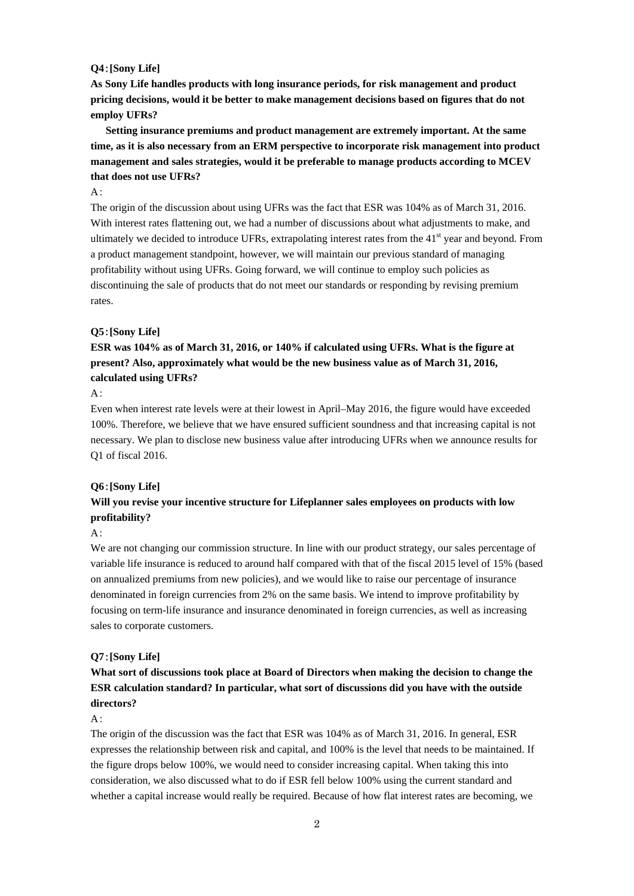#### **Q4**:**[Sony Life]**

**As Sony Life handles products with long insurance periods, for risk management and product pricing decisions, would it be better to make management decisions based on figures that do not employ UFRs?** 

**Setting insurance premiums and product management are extremely important. At the same time, as it is also necessary from an ERM perspective to incorporate risk management into product management and sales strategies, would it be preferable to manage products according to MCEV that does not use UFRs?** 

### $A$ :

The origin of the discussion about using UFRs was the fact that ESR was 104% as of March 31, 2016. With interest rates flattening out, we had a number of discussions about what adjustments to make, and ultimately we decided to introduce UFRs, extrapolating interest rates from the  $41<sup>st</sup>$  year and beyond. From a product management standpoint, however, we will maintain our previous standard of managing profitability without using UFRs. Going forward, we will continue to employ such policies as discontinuing the sale of products that do not meet our standards or responding by revising premium rates.

#### **Q5**:**[Sony Life]**

## **ESR was 104% as of March 31, 2016, or 140% if calculated using UFRs. What is the figure at present? Also, approximately what would be the new business value as of March 31, 2016, calculated using UFRs?**

### $A$ :

Even when interest rate levels were at their lowest in April–May 2016, the figure would have exceeded 100%. Therefore, we believe that we have ensured sufficient soundness and that increasing capital is not necessary. We plan to disclose new business value after introducing UFRs when we announce results for Q1 of fiscal 2016.

#### **Q6**:**[Sony Life]**

## **Will you revise your incentive structure for Lifeplanner sales employees on products with low profitability?**

## $A$ :

We are not changing our commission structure. In line with our product strategy, our sales percentage of variable life insurance is reduced to around half compared with that of the fiscal 2015 level of 15% (based on annualized premiums from new policies), and we would like to raise our percentage of insurance denominated in foreign currencies from 2% on the same basis. We intend to improve profitability by focusing on term-life insurance and insurance denominated in foreign currencies, as well as increasing sales to corporate customers.

#### **Q7**:**[Sony Life]**

## **What sort of discussions took place at Board of Directors when making the decision to change the ESR calculation standard? In particular, what sort of discussions did you have with the outside directors?**

### $A$ :

The origin of the discussion was the fact that ESR was 104% as of March 31, 2016. In general, ESR expresses the relationship between risk and capital, and 100% is the level that needs to be maintained. If the figure drops below 100%, we would need to consider increasing capital. When taking this into consideration, we also discussed what to do if ESR fell below 100% using the current standard and whether a capital increase would really be required. Because of how flat interest rates are becoming, we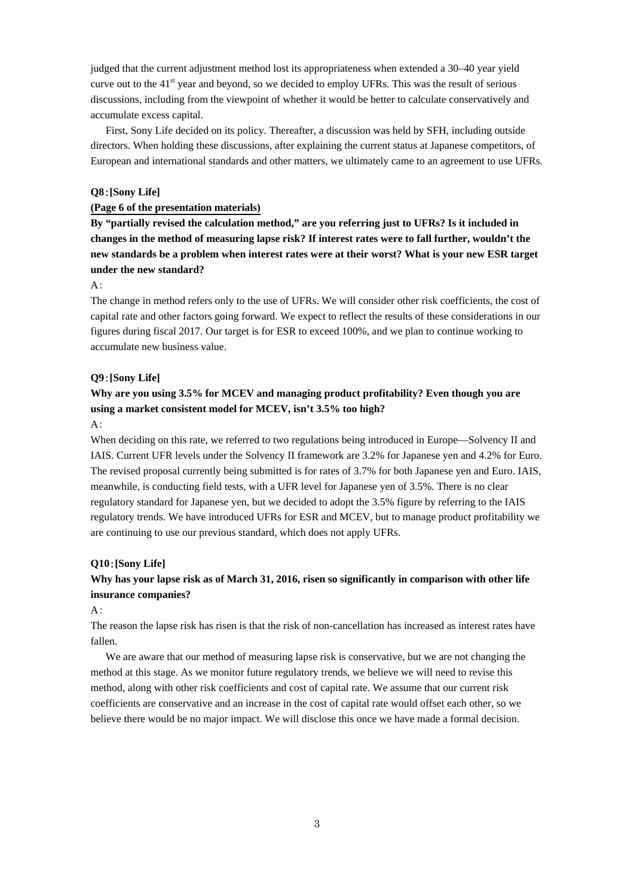judged that the current adjustment method lost its appropriateness when extended a 30–40 year yield curve out to the 41<sup>st</sup> year and beyond, so we decided to employ UFRs. This was the result of serious discussions, including from the viewpoint of whether it would be better to calculate conservatively and accumulate excess capital.

First, Sony Life decided on its policy. Thereafter, a discussion was held by SFH, including outside directors. When holding these discussions, after explaining the current status at Japanese competitors, of European and international standards and other matters, we ultimately came to an agreement to use UFRs.

### **Q8**:**[Sony Life]**

#### **[\(Page 6 of the presentation materials\)](http://www.sonyfh.co.jp/ja/financial_info/management_vision/160601_01.pdf)**

**By "partially revised the calculation method," are you referring just to UFRs? Is it included in changes in the method of measuring lapse risk? If interest rates were to fall further, wouldn't the new standards be a problem when interest rates were at their worst? What is your new ESR target under the new standard?** 

#### A:

The change in method refers only to the use of UFRs. We will consider other risk coefficients, the cost of capital rate and other factors going forward. We expect to reflect the results of these considerations in our figures during fiscal 2017. Our target is for ESR to exceed 100%, and we plan to continue working to accumulate new business value.

### **Q9**:**[Sony Life]**

## **Why are you using 3.5% for MCEV and managing product profitability? Even though you are using a market consistent model for MCEV, isn't 3.5% too high?**

## $A$ :

When deciding on this rate, we referred to two regulations being introduced in Europe—Solvency II and IAIS. Current UFR levels under the Solvency II framework are 3.2% for Japanese yen and 4.2% for Euro. The revised proposal currently being submitted is for rates of 3.7% for both Japanese yen and Euro. IAIS, meanwhile, is conducting field tests, with a UFR level for Japanese yen of 3.5%. There is no clear regulatory standard for Japanese yen, but we decided to adopt the 3.5% figure by referring to the IAIS regulatory trends. We have introduced UFRs for ESR and MCEV, but to manage product profitability we are continuing to use our previous standard, which does not apply UFRs.

#### **Q10**:**[Sony Life]**

## **Why has your lapse risk as of March 31, 2016, risen so significantly in comparison with other life insurance companies?**

#### $A$ :

The reason the lapse risk has risen is that the risk of non-cancellation has increased as interest rates have fallen.

We are aware that our method of measuring lapse risk is conservative, but we are not changing the method at this stage. As we monitor future regulatory trends, we believe we will need to revise this method, along with other risk coefficients and cost of capital rate. We assume that our current risk coefficients are conservative and an increase in the cost of capital rate would offset each other, so we believe there would be no major impact. We will disclose this once we have made a formal decision.